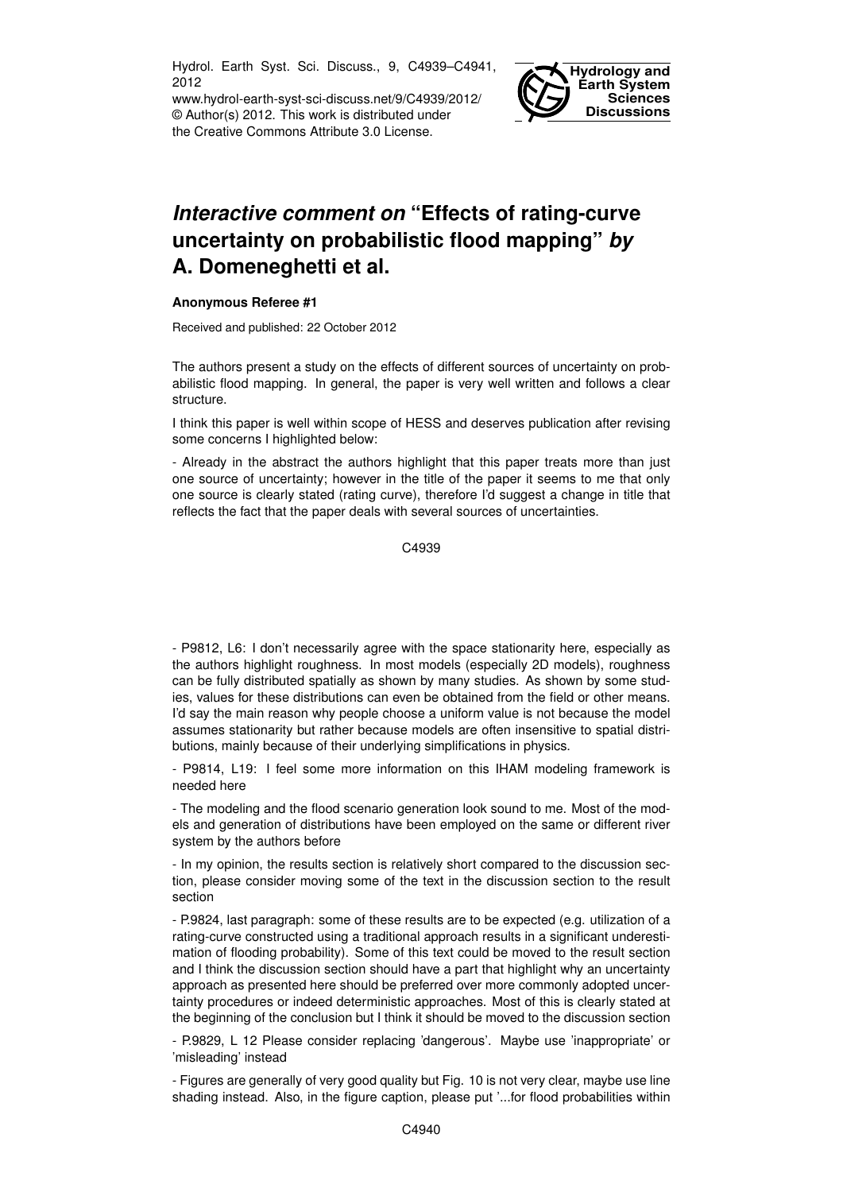Hydrol. Earth Syst. Sci. Discuss., 9, C4939–C4941, 2012

www.hydrol-earth-syst-sci-discuss.net/9/C4939/2012/ © Author(s) 2012. This work is distributed under the Creative Commons Attribute 3.0 License.



## *Interactive comment on* **"Effects of rating-curve uncertainty on probabilistic flood mapping"** *by* **A. Domeneghetti et al.**

## **Anonymous Referee #1**

Received and published: 22 October 2012

The authors present a study on the effects of different sources of uncertainty on probabilistic flood mapping. In general, the paper is very well written and follows a clear structure.

I think this paper is well within scope of HESS and deserves publication after revising some concerns I highlighted below:

- Already in the abstract the authors highlight that this paper treats more than just one source of uncertainty; however in the title of the paper it seems to me that only one source is clearly stated (rating curve), therefore I'd suggest a change in title that reflects the fact that the paper deals with several sources of uncertainties.

C4939

- P9812, L6: I don't necessarily agree with the space stationarity here, especially as the authors highlight roughness. In most models (especially 2D models), roughness can be fully distributed spatially as shown by many studies. As shown by some studies, values for these distributions can even be obtained from the field or other means. I'd say the main reason why people choose a uniform value is not because the model assumes stationarity but rather because models are often insensitive to spatial distributions, mainly because of their underlying simplifications in physics.

- P9814, L19: I feel some more information on this IHAM modeling framework is needed here

- The modeling and the flood scenario generation look sound to me. Most of the models and generation of distributions have been employed on the same or different river system by the authors before

- In my opinion, the results section is relatively short compared to the discussion section, please consider moving some of the text in the discussion section to the result section

- P.9824, last paragraph: some of these results are to be expected (e.g. utilization of a rating-curve constructed using a traditional approach results in a significant underestimation of flooding probability). Some of this text could be moved to the result section and I think the discussion section should have a part that highlight why an uncertainty approach as presented here should be preferred over more commonly adopted uncertainty procedures or indeed deterministic approaches. Most of this is clearly stated at the beginning of the conclusion but I think it should be moved to the discussion section

- P.9829, L 12 Please consider replacing 'dangerous'. Maybe use 'inappropriate' or 'misleading' instead

- Figures are generally of very good quality but Fig. 10 is not very clear, maybe use line shading instead. Also, in the figure caption, please put '...for flood probabilities within